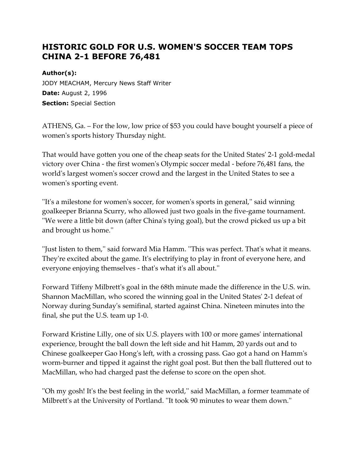## **HISTORIC GOLD FOR U.S. WOMEN'S SOCCER TEAM TOPS CHINA 2-1 BEFORE 76,481**

## **Author(s):**

JODY MEACHAM, Mercury News Staff Writer **Date:** August 2, 1996 **Section:** Special Section

ATHENS, Ga. – For the low, low price of \$53 you could have bought yourself a piece of women's sports history Thursday night.

That would have gotten you one of the cheap seats for the United States' 2-1 gold-medal victory over China - the first women's Olympic soccer medal - before 76,481 fans, the world's largest women's soccer crowd and the largest in the United States to see a women's sporting event.

''It's a milestone for women's soccer, for women's sports in general,'' said winning goalkeeper Brianna Scurry, who allowed just two goals in the five-game tournament. ''We were a little bit down (after China's tying goal), but the crowd picked us up a bit and brought us home.''

''Just listen to them,'' said forward Mia Hamm. ''This was perfect. That's what it means. They're excited about the game. It's electrifying to play in front of everyone here, and everyone enjoying themselves - that's what it's all about.''

Forward Tiffeny Milbrett's goal in the 68th minute made the difference in the U.S. win. Shannon MacMillan, who scored the winning goal in the United States' 2-1 defeat of Norway during Sunday's semifinal, started against China. Nineteen minutes into the final, she put the U.S. team up 1-0.

Forward Kristine Lilly, one of six U.S. players with 100 or more games' international experience, brought the ball down the left side and hit Hamm, 20 yards out and to Chinese goalkeeper Gao Hong's left, with a crossing pass. Gao got a hand on Hamm's worm-burner and tipped it against the right goal post. But then the ball fluttered out to MacMillan, who had charged past the defense to score on the open shot.

''Oh my gosh! It's the best feeling in the world,'' said MacMillan, a former teammate of Milbrett's at the University of Portland. ''It took 90 minutes to wear them down.''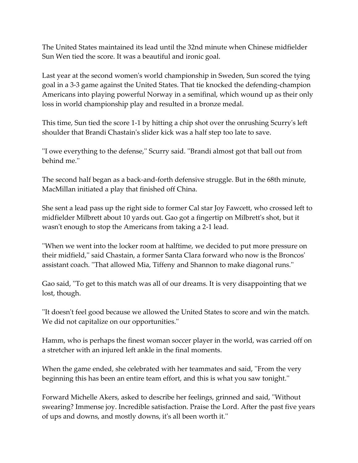The United States maintained its lead until the 32nd minute when Chinese midfielder Sun Wen tied the score. It was a beautiful and ironic goal.

Last year at the second women's world championship in Sweden, Sun scored the tying goal in a 3-3 game against the United States. That tie knocked the defending-champion Americans into playing powerful Norway in a semifinal, which wound up as their only loss in world championship play and resulted in a bronze medal.

This time, Sun tied the score 1-1 by hitting a chip shot over the onrushing Scurry's left shoulder that Brandi Chastain's slider kick was a half step too late to save.

''I owe everything to the defense,'' Scurry said. ''Brandi almost got that ball out from behind me.''

The second half began as a back-and-forth defensive struggle. But in the 68th minute, MacMillan initiated a play that finished off China.

She sent a lead pass up the right side to former Cal star Joy Fawcett, who crossed left to midfielder Milbrett about 10 yards out. Gao got a fingertip on Milbrett's shot, but it wasn't enough to stop the Americans from taking a 2-1 lead.

''When we went into the locker room at halftime, we decided to put more pressure on their midfield,'' said Chastain, a former Santa Clara forward who now is the Broncos' assistant coach. ''That allowed Mia, Tiffeny and Shannon to make diagonal runs.''

Gao said, ''To get to this match was all of our dreams. It is very disappointing that we lost, though.

''It doesn't feel good because we allowed the United States to score and win the match. We did not capitalize on our opportunities.''

Hamm, who is perhaps the finest woman soccer player in the world, was carried off on a stretcher with an injured left ankle in the final moments.

When the game ended, she celebrated with her teammates and said, ''From the very beginning this has been an entire team effort, and this is what you saw tonight.''

Forward Michelle Akers, asked to describe her feelings, grinned and said, ''Without swearing? Immense joy. Incredible satisfaction. Praise the Lord. After the past five years of ups and downs, and mostly downs, it's all been worth it.''